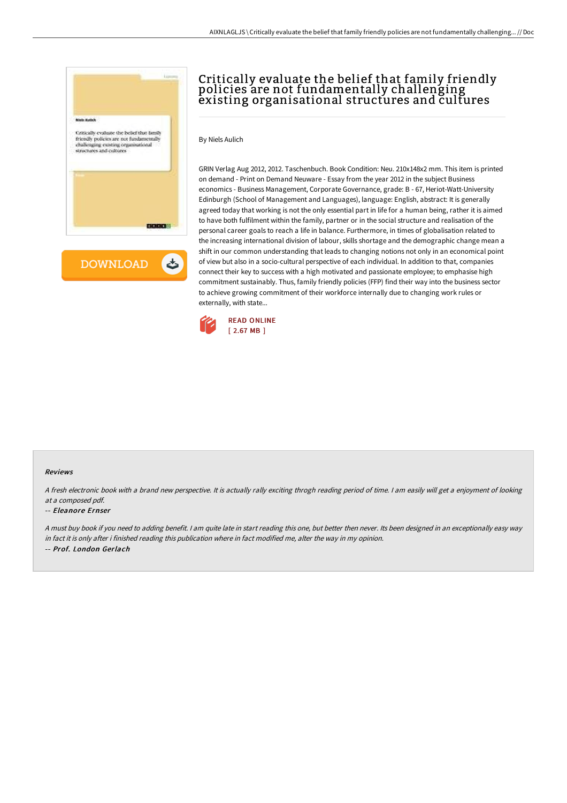

# Critically evaluate the belief that family friendly policies are not fundamentally challenging existing organisational structures and cultures

By Niels Aulich

GRIN Verlag Aug 2012, 2012. Taschenbuch. Book Condition: Neu. 210x148x2 mm. This item is printed on demand - Print on Demand Neuware - Essay from the year 2012 in the subject Business economics - Business Management, Corporate Governance, grade: B - 67, Heriot-Watt-University Edinburgh (School of Management and Languages), language: English, abstract: It is generally agreed today that working is not the only essential part in life for a human being, rather it is aimed to have both fulfilment within the family, partner or in the social structure and realisation of the personal career goals to reach a life in balance. Furthermore, in times of globalisation related to the increasing international division of labour, skills shortage and the demographic change mean a shift in our common understanding that leads to changing notions not only in an economical point of view but also in a socio-cultural perspective of each individual. In addition to that, companies connect their key to success with a high motivated and passionate employee; to emphasise high commitment sustainably. Thus, family friendly policies (FFP) find their way into the business sector to achieve growing commitment of their workforce internally due to changing work rules or externally, with state...



### Reviews

<sup>A</sup> fresh electronic book with <sup>a</sup> brand new perspective. It is actually rally exciting throgh reading period of time. <sup>I</sup> am easily will get <sup>a</sup> enjoyment of looking at <sup>a</sup> composed pdf.

#### -- Eleanore Ernser

<sup>A</sup> must buy book if you need to adding benefit. <sup>I</sup> am quite late in start reading this one, but better then never. Its been designed in an exceptionally easy way in fact it is only after i finished reading this publication where in fact modified me, alter the way in my opinion. -- Prof. London Gerlach